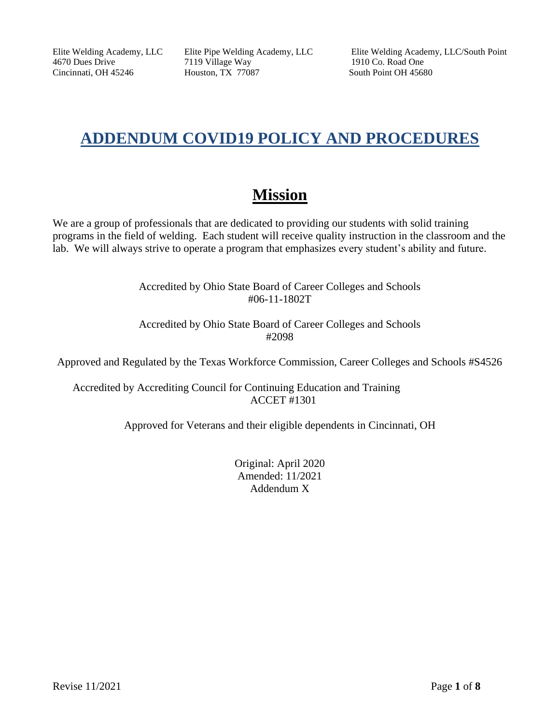4670 Dues Drive 7119 Village Way 1910 Co. Road One Cincinnati, OH 45246 Houston, TX 77087 South Point OH 45680

Elite Welding Academy, LLC Elite Pipe Welding Academy, LLC Elite Welding Academy, LLC/South Point

# **ADDENDUM COVID19 POLICY AND PROCEDURES**

# **Mission**

We are a group of professionals that are dedicated to providing our students with solid training programs in the field of welding. Each student will receive quality instruction in the classroom and the lab. We will always strive to operate a program that emphasizes every student's ability and future.

> Accredited by Ohio State Board of Career Colleges and Schools #06-11-1802T

> Accredited by Ohio State Board of Career Colleges and Schools #2098

Approved and Regulated by the Texas Workforce Commission, Career Colleges and Schools #S4526

Accredited by Accrediting Council for Continuing Education and Training ACCET #1301

Approved for Veterans and their eligible dependents in Cincinnati, OH

Original: April 2020 Amended: 11/2021 Addendum X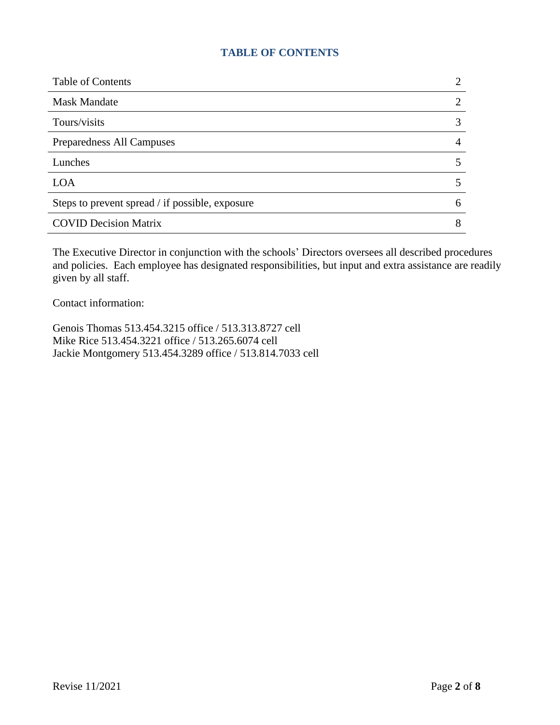### **TABLE OF CONTENTS**

| <b>Table of Contents</b>                        |   |
|-------------------------------------------------|---|
| <b>Mask Mandate</b>                             |   |
| Tours/visits                                    |   |
| Preparedness All Campuses                       |   |
| Lunches                                         |   |
| <b>LOA</b>                                      |   |
| Steps to prevent spread / if possible, exposure | 6 |
| <b>COVID Decision Matrix</b>                    |   |

The Executive Director in conjunction with the schools' Directors oversees all described procedures and policies. Each employee has designated responsibilities, but input and extra assistance are readily given by all staff.

Contact information:

Genois Thomas 513.454.3215 office / 513.313.8727 cell Mike Rice 513.454.3221 office / 513.265.6074 cell Jackie Montgomery 513.454.3289 office / 513.814.7033 cell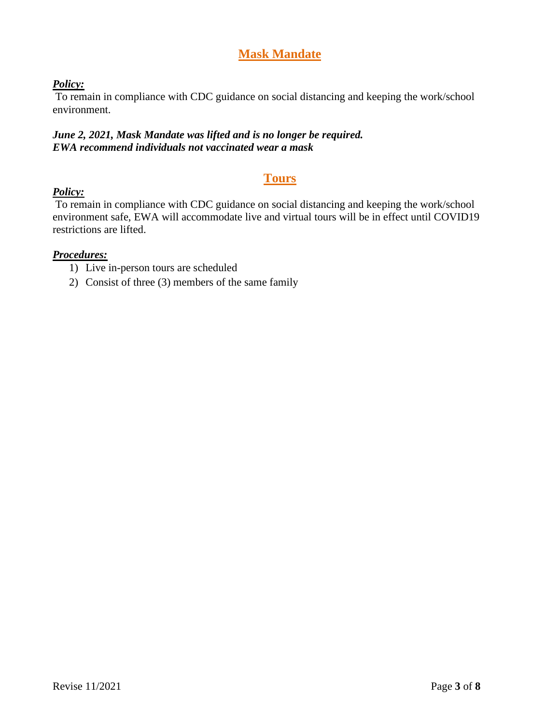# **Mask Mandate**

#### *Policy:*

To remain in compliance with CDC guidance on social distancing and keeping the work/school environment.

#### *June 2, 2021, Mask Mandate was lifted and is no longer be required. EWA recommend individuals not vaccinated wear a mask*

# **Tours**

# *Policy:*

To remain in compliance with CDC guidance on social distancing and keeping the work/school environment safe, EWA will accommodate live and virtual tours will be in effect until COVID19 restrictions are lifted.

#### *Procedures:*

- 1) Live in-person tours are scheduled
- 2) Consist of three (3) members of the same family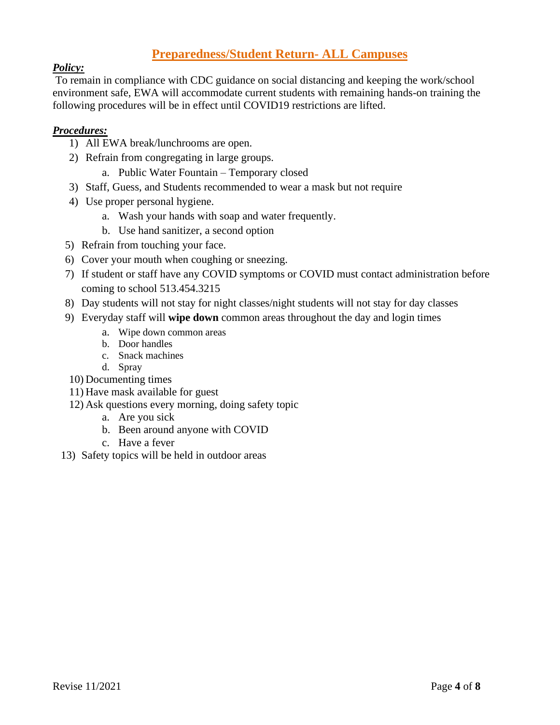# **Preparedness/Student Return- ALL Campuses**

### *Policy:*

To remain in compliance with CDC guidance on social distancing and keeping the work/school environment safe, EWA will accommodate current students with remaining hands-on training the following procedures will be in effect until COVID19 restrictions are lifted.

#### *Procedures:*

- 1) All EWA break/lunchrooms are open.
- 2) Refrain from congregating in large groups.
	- a. Public Water Fountain Temporary closed
- 3) Staff, Guess, and Students recommended to wear a mask but not require
- 4) Use proper personal hygiene.
	- a. Wash your hands with soap and water frequently.
	- b. Use hand sanitizer, a second option
- 5) Refrain from touching your face.
- 6) Cover your mouth when coughing or sneezing.
- 7) If student or staff have any COVID symptoms or COVID must contact administration before coming to school 513.454.3215
- 8) Day students will not stay for night classes/night students will not stay for day classes
- 9) Everyday staff will **wipe down** common areas throughout the day and login times
	- a. Wipe down common areas
	- b. Door handles
	- c. Snack machines
	- d. Spray
- 10) Documenting times
- 11) Have mask available for guest
- 12) Ask questions every morning, doing safety topic
	- a. Are you sick
	- b. Been around anyone with COVID
	- c. Have a fever
- 13) Safety topics will be held in outdoor areas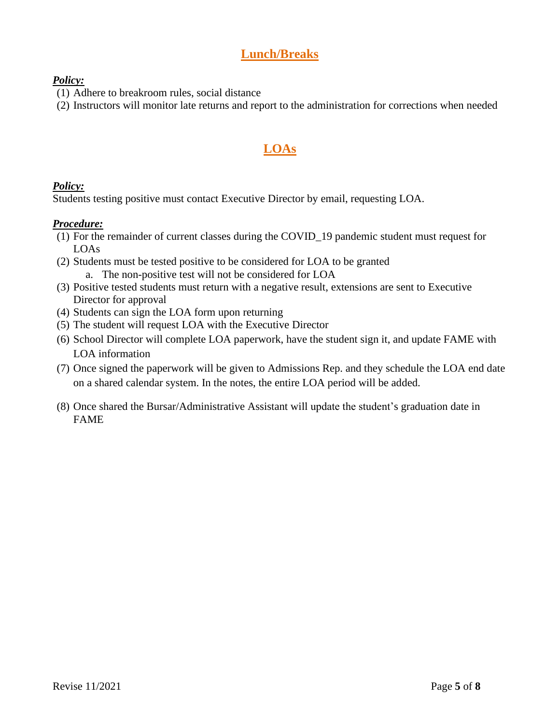# **Lunch/Breaks**

#### *Policy:*

- (1) Adhere to breakroom rules, social distance
- (2) Instructors will monitor late returns and report to the administration for corrections when needed

# **LOAs**

# *Policy:*

Students testing positive must contact Executive Director by email, requesting LOA.

# *Procedure:*

- (1) For the remainder of current classes during the COVID\_19 pandemic student must request for LOAs
- (2) Students must be tested positive to be considered for LOA to be granted a. The non-positive test will not be considered for LOA
- (3) Positive tested students must return with a negative result, extensions are sent to Executive Director for approval
- (4) Students can sign the LOA form upon returning
- (5) The student will request LOA with the Executive Director
- (6) School Director will complete LOA paperwork, have the student sign it, and update FAME with LOA information
- (7) Once signed the paperwork will be given to Admissions Rep. and they schedule the LOA end date on a shared calendar system. In the notes, the entire LOA period will be added.
- (8) Once shared the Bursar/Administrative Assistant will update the student's graduation date in FAME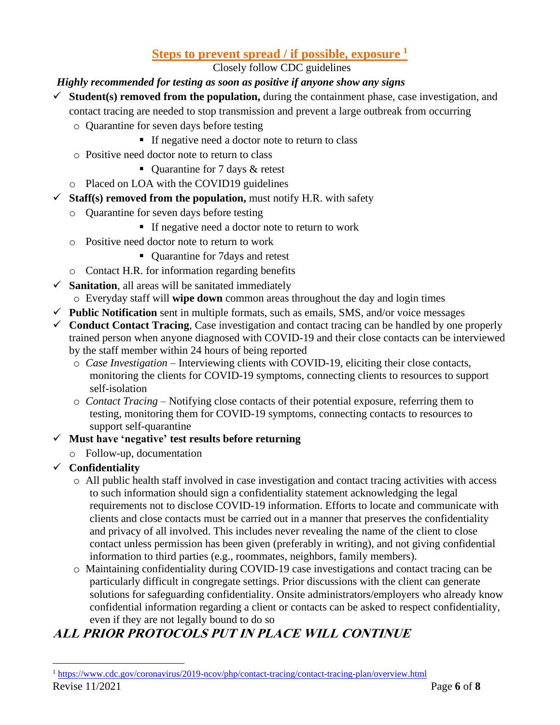# **Steps to prevent spread / if possible, exposure <sup>1</sup>**

Closely follow CDC guidelines

## *Highly recommended for testing as soon as positive if anyone show any signs*

- $\checkmark$  **Student**(s) removed from the population, during the containment phase, case investigation, and contact tracing are needed to stop transmission and prevent a large outbreak from occurring
	- o Quarantine for seven days before testing
		- If negative need a doctor note to return to class
	- o Positive need doctor note to return to class
		- Quarantine for 7 days & retest
	- o Placed on LOA with the COVID19 guidelines
- $\checkmark$  **Staff(s) removed from the population,** must notify H.R. with safety
	- o Quarantine for seven days before testing
		- If negative need a doctor note to return to work
	- o Positive need doctor note to return to work
		- Quarantine for 7 days and retest
	- o Contact H.R. for information regarding benefits
- $\checkmark$  **Sanitation**, all areas will be sanitated immediately
	- o Everyday staff will **wipe down** common areas throughout the day and login times
- $\checkmark$  **Public Notification** sent in multiple formats, such as emails, SMS, and/or voice messages
- $\checkmark$  **Conduct Contact Tracing**, Case investigation and contact tracing can be handled by one properly trained person when anyone diagnosed with COVID-19 and their close contacts can be interviewed by the staff member within 24 hours of being reported
	- o *Case Investigation* Interviewing clients with COVID-19, eliciting their close contacts, monitoring the clients for COVID-19 symptoms, connecting clients to resources to support self-isolation
	- o *Contact Tracing* Notifying close contacts of their potential exposure, referring them to testing, monitoring them for COVID-19 symptoms, connecting contacts to resources to support self-quarantine

#### ✓ **Must have 'negative' test results before returning**

- o Follow-up, documentation
- ✓ **Confidentiality**
	- o All public health staff involved in case investigation and contact tracing activities with access to such information should sign a confidentiality statement acknowledging the legal requirements not to disclose COVID-19 information. Efforts to locate and communicate with clients and close contacts must be carried out in a manner that preserves the confidentiality and privacy of all involved. This includes never revealing the name of the client to close contact unless permission has been given (preferably in writing), and not giving confidential information to third parties (e.g., roommates, neighbors, family members).
	- o Maintaining confidentiality during COVID-19 case investigations and contact tracing can be particularly difficult in congregate settings. Prior discussions with the client can generate solutions for safeguarding confidentiality. Onsite administrators/employers who already know confidential information regarding a client or contacts can be asked to respect confidentiality, even if they are not legally bound to do so

# **ALL PRIOR PROTOCOLS PUT IN PLACE WILL CONTINUE**

Revise  $11/2021$  Page 6 of 8 <sup>1</sup> <https://www.cdc.gov/coronavirus/2019-ncov/php/contact-tracing/contact-tracing-plan/overview.html>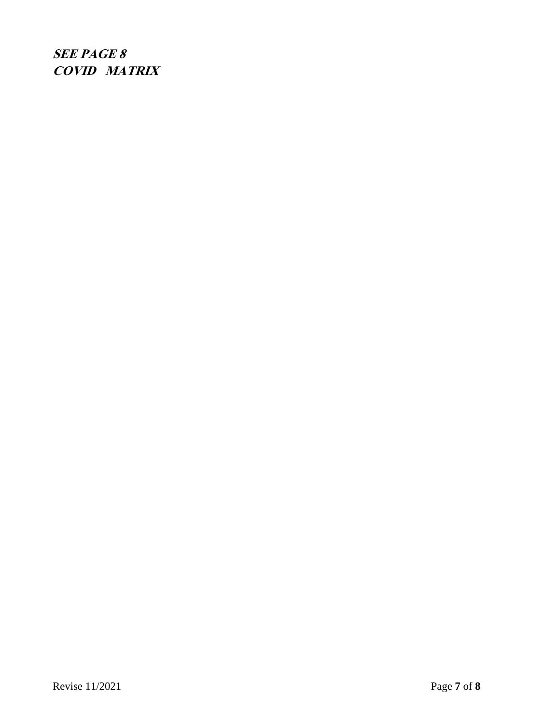**SEE PAGE 8 COVID MATRIX**